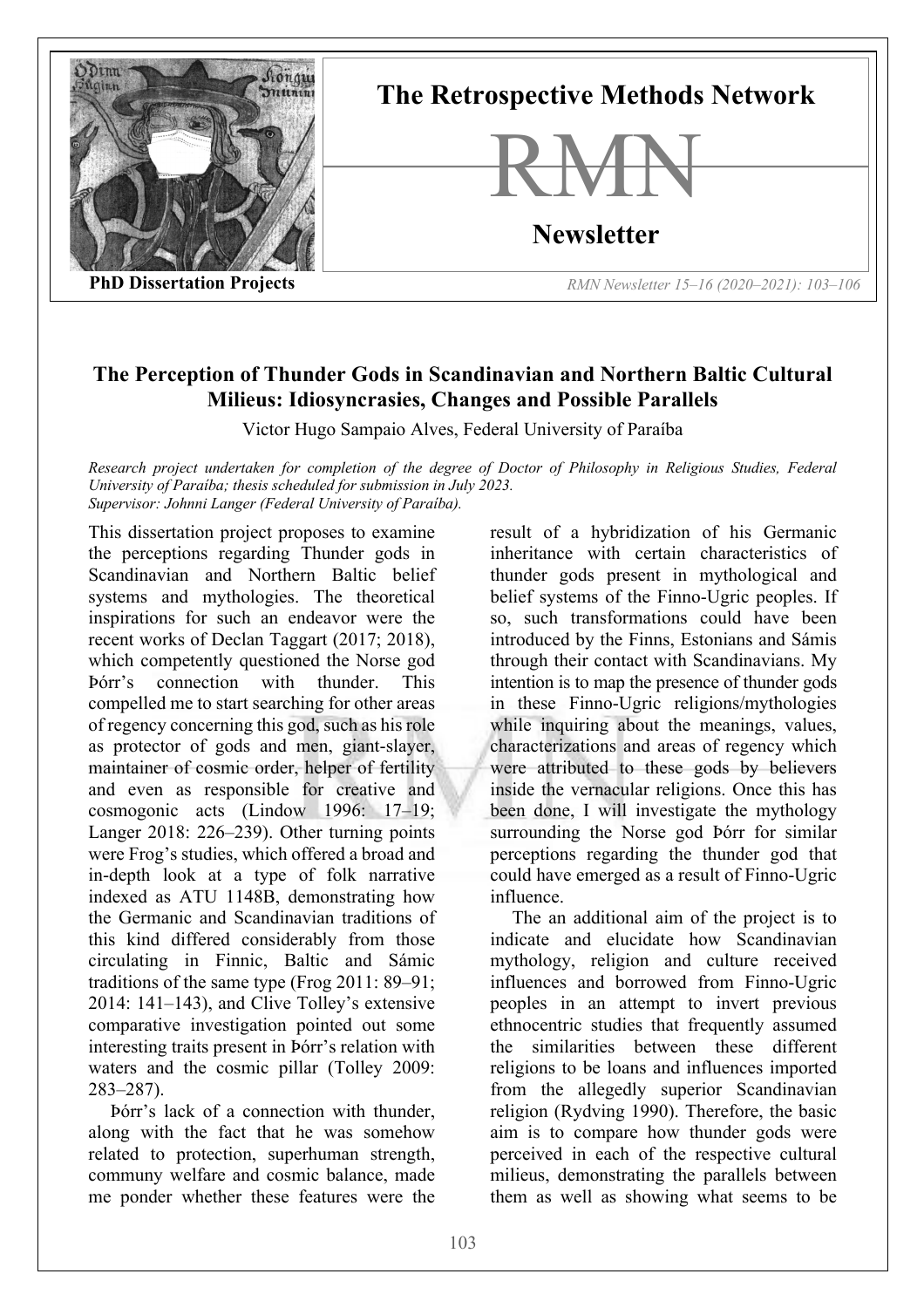

## **The Perception of Thunder Gods in Scandinavian and Northern Baltic Cultural Milieus: Idiosyncrasies, Changes and Possible Parallels**

Victor Hugo Sampaio Alves, Federal University of Paraíba

*Research project undertaken for completion of the degree of Doctor of Philosophy in Religious Studies, Federal University of Paraíba; thesis scheduled for submission in July 2023. Supervisor: Johnni Langer (Federal University of Paraíba).*

This dissertation project proposes to examine the perceptions regarding Thunder gods in Scandinavian and Northern Baltic belief systems and mythologies. The theoretical inspirations for such an endeavor were the recent works of Declan Taggart (2017; 2018), which competently questioned the Norse god Þórr's connection with thunder. This compelled me to start searching for other areas of regency concerning this god, such as his role as protector of gods and men, giant-slayer, maintainer of cosmic order, helper of fertility and even as responsible for creative and cosmogonic acts (Lindow 1996: 17–19; Langer 2018: 226–239). Other turning points were Frog's studies, which offered a broad and in-depth look at a type of folk narrative indexed as ATU 1148B, demonstrating how the Germanic and Scandinavian traditions of this kind differed considerably from those circulating in Finnic, Baltic and Sámic traditions of the same type (Frog 2011: 89–91; 2014: 141–143), and Clive Tolley's extensive comparative investigation pointed out some interesting traits present in Þórr's relation with waters and the cosmic pillar (Tolley 2009: 283–287).

Þórr's lack of a connection with thunder, along with the fact that he was somehow related to protection, superhuman strength, communy welfare and cosmic balance, made me ponder whether these features were the result of a hybridization of his Germanic inheritance with certain characteristics of thunder gods present in mythological and belief systems of the Finno-Ugric peoples. If so, such transformations could have been introduced by the Finns, Estonians and Sámis through their contact with Scandinavians. My intention is to map the presence of thunder gods in these Finno-Ugric religions/mythologies while inquiring about the meanings, values, characterizations and areas of regency which were attributed to these gods by believers inside the vernacular religions. Once this has been done, I will investigate the mythology surrounding the Norse god Þórr for similar perceptions regarding the thunder god that could have emerged as a result of Finno-Ugric influence.

The an additional aim of the project is to indicate and elucidate how Scandinavian mythology, religion and culture received influences and borrowed from Finno-Ugric peoples in an attempt to invert previous ethnocentric studies that frequently assumed the similarities between these different religions to be loans and influences imported from the allegedly superior Scandinavian religion (Rydving 1990). Therefore, the basic aim is to compare how thunder gods were perceived in each of the respective cultural milieus, demonstrating the parallels between them as well as showing what seems to be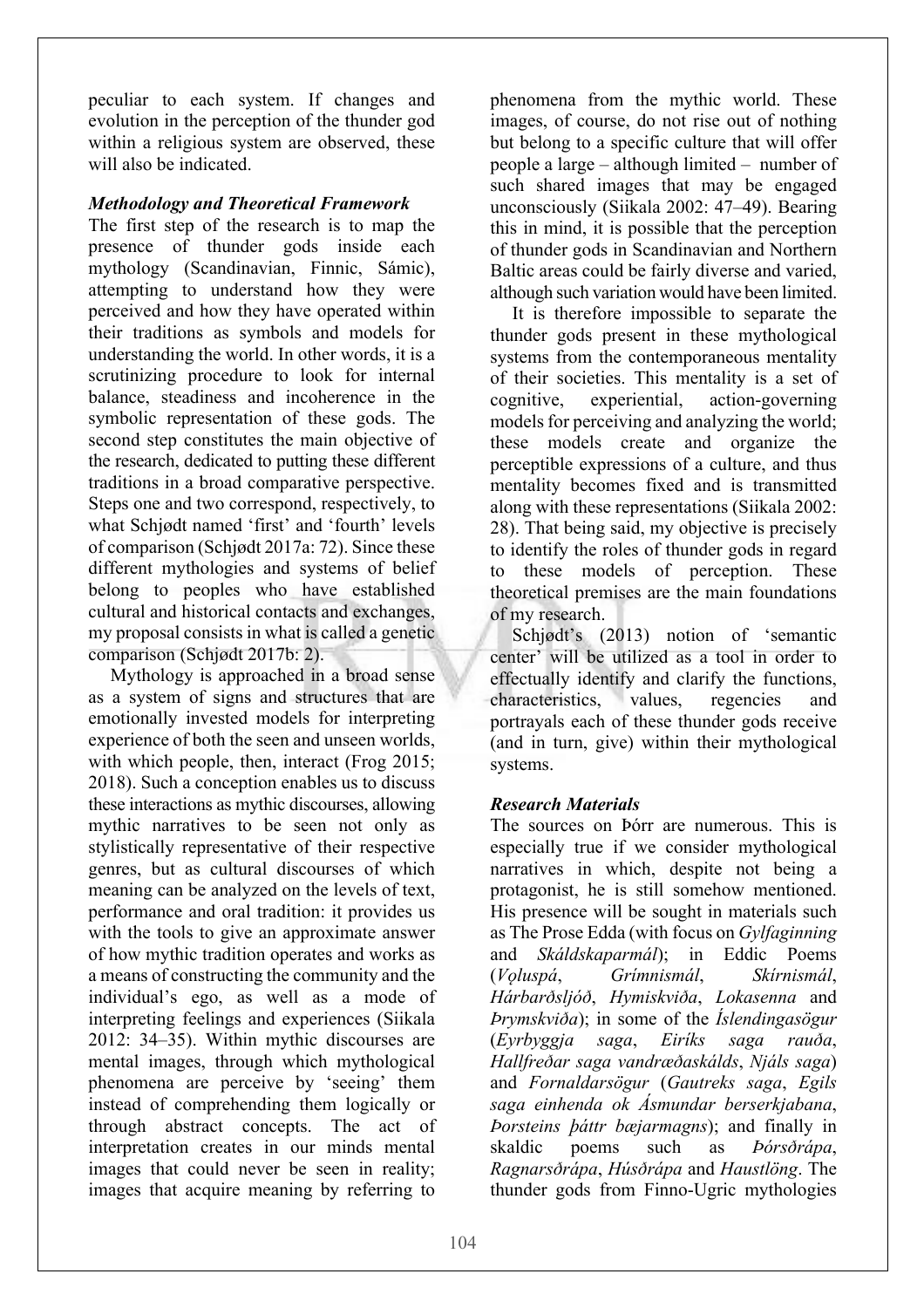peculiar to each system. If changes and evolution in the perception of the thunder god within a religious system are observed, these will also be indicated.

### *Methodology and Theoretical Framework*

The first step of the research is to map the presence of thunder gods inside each mythology (Scandinavian, Finnic, Sámic), attempting to understand how they were perceived and how they have operated within their traditions as symbols and models for understanding the world. In other words, it is a scrutinizing procedure to look for internal balance, steadiness and incoherence in the symbolic representation of these gods. The second step constitutes the main objective of the research, dedicated to putting these different traditions in a broad comparative perspective. Steps one and two correspond, respectively, to what Schjødt named 'first' and 'fourth' levels of comparison (Schjødt 2017a: 72). Since these different mythologies and systems of belief belong to peoples who have established cultural and historical contacts and exchanges, my proposal consists in what is called a genetic comparison (Schjødt 2017b: 2).

Mythology is approached in a broad sense as a system of signs and structures that are emotionally invested models for interpreting experience of both the seen and unseen worlds, with which people, then, interact (Frog 2015; 2018). Such a conception enables us to discuss these interactions as mythic discourses, allowing mythic narratives to be seen not only as stylistically representative of their respective genres, but as cultural discourses of which meaning can be analyzed on the levels of text, performance and oral tradition: it provides us with the tools to give an approximate answer of how mythic tradition operates and works as a means of constructing the community and the individual's ego, as well as a mode of interpreting feelings and experiences (Siikala 2012: 34–35). Within mythic discourses are mental images, through which mythological phenomena are perceive by 'seeing' them instead of comprehending them logically or through abstract concepts. The act of interpretation creates in our minds mental images that could never be seen in reality; images that acquire meaning by referring to

phenomena from the mythic world. These images, of course, do not rise out of nothing but belong to a specific culture that will offer people a large – although limited – number of such shared images that may be engaged unconsciously (Siikala 2002: 47–49). Bearing this in mind, it is possible that the perception of thunder gods in Scandinavian and Northern Baltic areas could be fairly diverse and varied, although such variation would have been limited.

It is therefore impossible to separate the thunder gods present in these mythological systems from the contemporaneous mentality of their societies. This mentality is a set of cognitive, experiential, action-governing models for perceiving and analyzing the world; these models create and organize the perceptible expressions of a culture, and thus mentality becomes fixed and is transmitted along with these representations (Siikala 2002: 28). That being said, my objective is precisely to identify the roles of thunder gods in regard to these models of perception. These theoretical premises are the main foundations of my research.

Schjødt's (2013) notion of 'semantic center' will be utilized as a tool in order to effectually identify and clarify the functions, characteristics, values, regencies and portrayals each of these thunder gods receive (and in turn, give) within their mythological systems.

## *Research Materials*

The sources on Þórr are numerous. This is especially true if we consider mythological narratives in which, despite not being a protagonist, he is still somehow mentioned. His presence will be sought in materials such as The Prose Edda (with focus on *Gylfaginning*  and *Skáldskaparmál*); in Eddic Poems (*Vǫluspá*, *Grímnismál*, *Skírnismál*, *Hárbarðsljóð*, *Hymiskviða*, *Lokasenna* and *Þrymskviða*); in some of the *Íslendingasögur*  (*Eyrbyggja saga*, *Eiríks saga rauða*, *Hallfreðar saga vandræðaskálds*, *Njáls saga*) and *Fornaldarsögur* (*Gautreks saga*, *Egils saga einhenda ok Ásmundar berserkjabana*, *Þorsteins þáttr bæjarmagns*); and finally in skaldic poems such as *Þórsðrápa*, *Ragnarsðrápa*, *Húsðrápa* and *Haustlöng*. The thunder gods from Finno-Ugric mythologies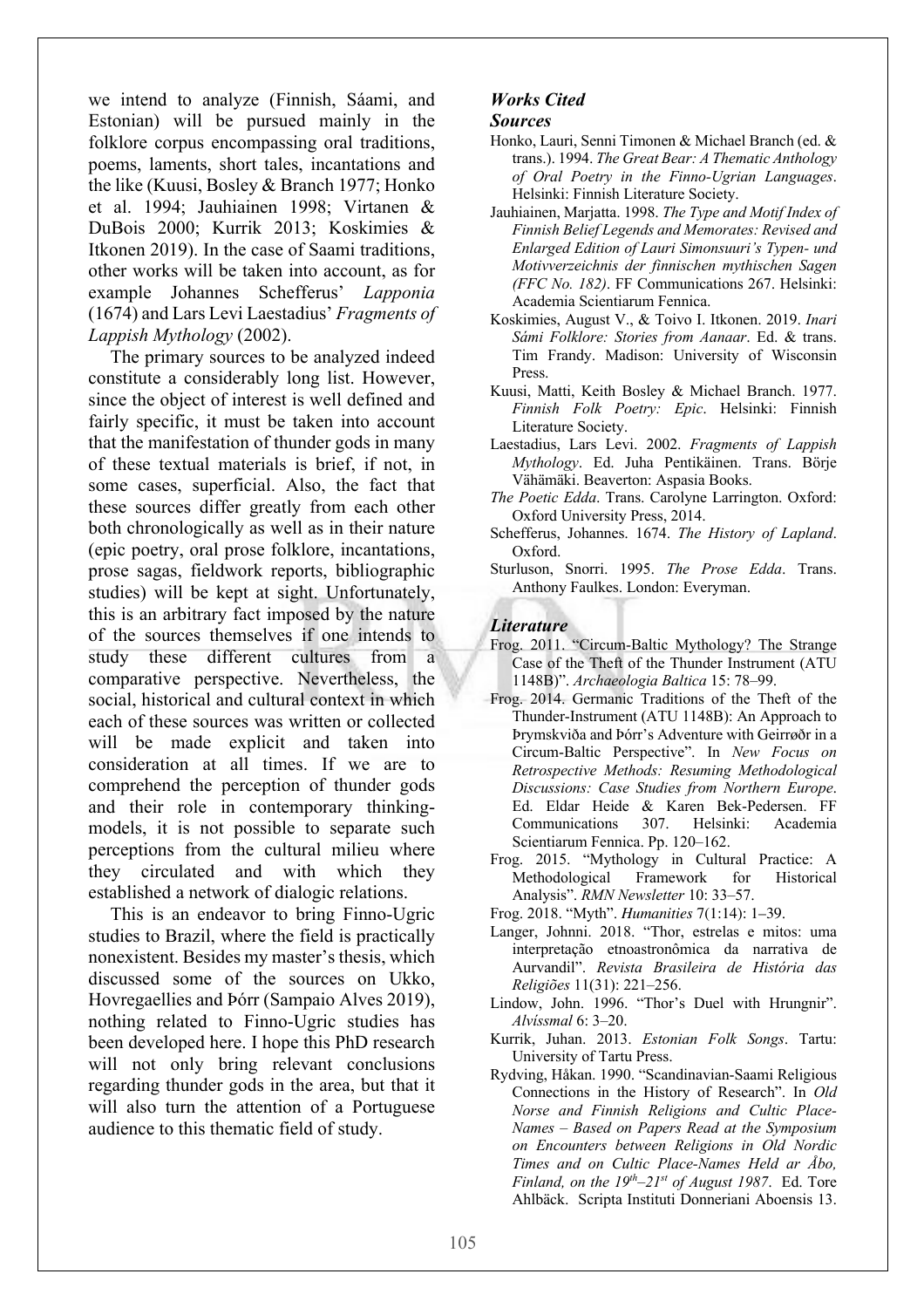we intend to analyze (Finnish, Sáami, and Estonian) will be pursued mainly in the folklore corpus encompassing oral traditions, poems, laments, short tales, incantations and the like (Kuusi, Bosley & Branch 1977; Honko et al. 1994; Jauhiainen 1998; Virtanen & DuBois 2000; Kurrik 2013; Koskimies & Itkonen 2019). In the case of Saami traditions, other works will be taken into account, as for example Johannes Schefferus' *Lapponia*  (1674) and Lars Levi Laestadius' *Fragments of Lappish Mythology* (2002).

The primary sources to be analyzed indeed constitute a considerably long list. However, since the object of interest is well defined and fairly specific, it must be taken into account that the manifestation of thunder gods in many of these textual materials is brief, if not, in some cases, superficial. Also, the fact that these sources differ greatly from each other both chronologically as well as in their nature (epic poetry, oral prose folklore, incantations, prose sagas, fieldwork reports, bibliographic studies) will be kept at sight. Unfortunately, this is an arbitrary fact imposed by the nature of the sources themselves if one intends to study these different cultures from a comparative perspective. Nevertheless, the social, historical and cultural context in which each of these sources was written or collected will be made explicit and taken into consideration at all times. If we are to comprehend the perception of thunder gods and their role in contemporary thinkingmodels, it is not possible to separate such perceptions from the cultural milieu where they circulated and with which they established a network of dialogic relations.

This is an endeavor to bring Finno-Ugric studies to Brazil, where the field is practically nonexistent. Besides my master's thesis, which discussed some of the sources on Ukko, Hovregaellies and Þórr (Sampaio Alves 2019), nothing related to Finno-Ugric studies has been developed here. I hope this PhD research will not only bring relevant conclusions regarding thunder gods in the area, but that it will also turn the attention of a Portuguese audience to this thematic field of study.

# *Works Cited*

#### *Sources*

- Honko, Lauri, Senni Timonen & Michael Branch (ed. & trans.). 1994. *The Great Bear: A Thematic Anthology of Oral Poetry in the Finno-Ugrian Languages*. Helsinki: Finnish Literature Society.
- Jauhiainen, Marjatta. 1998. *The Type and Motif Index of Finnish Belief Legends and Memorates: Revised and Enlarged Edition of Lauri Simonsuuri's Typen- und Motivverzeichnis der finnischen mythischen Sagen (FFC No. 182)*. FF Communications 267. Helsinki: Academia Scientiarum Fennica.
- Koskimies, August V., & Toivo I. Itkonen. 2019. *Inari Sámi Folklore: Stories from Aanaar*. Ed. & trans. Tim Frandy. Madison: University of Wisconsin Press.
- Kuusi, Matti, Keith Bosley & Michael Branch. 1977. *Finnish Folk Poetry: Epic*. Helsinki: Finnish Literature Society.
- Laestadius, Lars Levi. 2002. *Fragments of Lappish Mythology*. Ed. Juha Pentikäinen. Trans. Börje Vähämäki. Beaverton: Aspasia Books.
- *The Poetic Edda*. Trans. Carolyne Larrington. Oxford: Oxford University Press, 2014.
- Schefferus, Johannes. 1674. *The History of Lapland*. Oxford.
- Sturluson, Snorri. 1995. *The Prose Edda*. Trans. Anthony Faulkes. London: Everyman.

#### *Literature*

- Frog. 2011. "Circum-Baltic Mythology? The Strange Case of the Theft of the Thunder Instrument (ATU 1148B)". *Archaeologia Baltica* 15: 78–99.
- Frog. 2014. Germanic Traditions of the Theft of the Thunder-Instrument (ATU 1148B): An Approach to Þrymskviða and Þórr's Adventure with Geirrøðr in a Circum-Baltic Perspective". In *New Focus on Retrospective Methods: Resuming Methodological Discussions: Case Studies from Northern Europe*. Ed. Eldar Heide & Karen Bek-Pedersen. FF Communications 307. Helsinki: Academia Scientiarum Fennica. Pp. 120–162.
- Frog. 2015. "Mythology in Cultural Practice: A Methodological Framework for Historical Analysis". *RMN Newsletter* 10: 33–57.
- Frog. 2018. "Myth". *Humanities* 7(1:14): 1–39.
- Langer, Johnni. 2018. "Thor, estrelas e mitos: uma interpretação etnoastronômica da narrativa de Aurvandil". *Revista Brasileira de História das Religiões* 11(31): 221–256.
- Lindow, John. 1996. "Thor's Duel with Hrungnir". *Alvíssmal* 6: 3–20.
- Kurrik, Juhan. 2013. *Estonian Folk Songs*. Tartu: University of Tartu Press.
- Rydving, Håkan. 1990. "Scandinavian-Saami Religious Connections in the History of Research". In *Old Norse and Finnish Religions and Cultic Place-Names – Based on Papers Read at the Symposium on Encounters between Religions in Old Nordic Times and on Cultic Place-Names Held ar Åbo, Finland, on the 19th–21st of August 1987*. Ed. Tore Ahlbäck. Scripta Instituti Donneriani Aboensis 13.